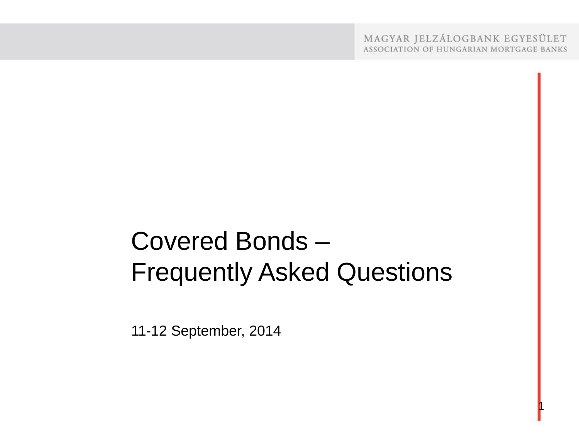MAGYAR JELZÁLOGBANK EGYESÜLET ASSOCIATION OF HUNGARIAN MORTGAGE BANKS

1

# Covered Bonds – Frequently Asked Questions

11-12 September, 2014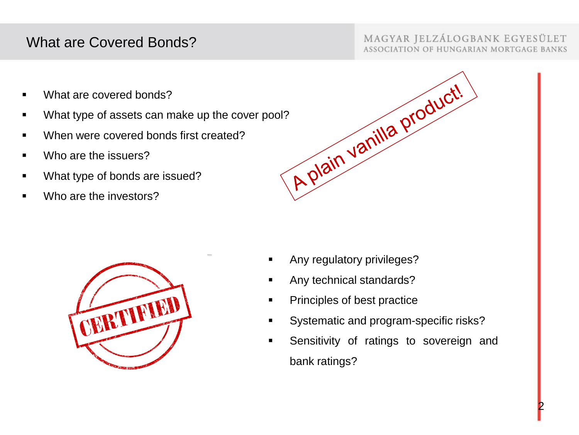# What are Covered Bonds?

### MAGYAR JELZÁLOGBANK EGYESÜLET ASSOCIATION OF HUNGARIAN MORTGAGE BANKS

- What are covered bonds?
- 
- When were covered bonds first created?
- Who are the issuers?
- What type of bonds are issued?
- Who are the investors?





- Any regulatory privileges?
- Any technical standards?
- Principles of best practice
- Systematic and program-specific risks?
- **Sensitivity of ratings to sovereign and** bank ratings?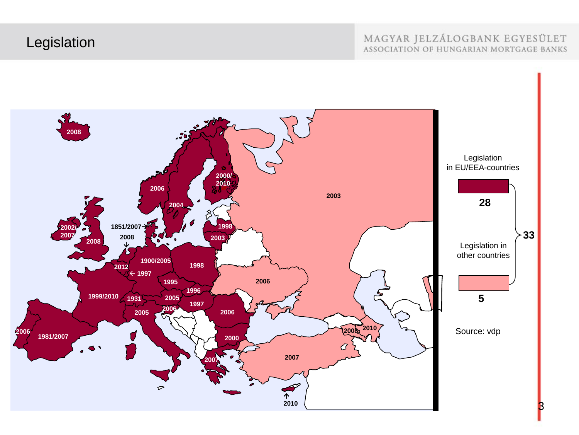# Legislation

#### MAGYAR JELZÁLOGBANK EGYESÜLET ASSOCIATION OF HUNGARIAN MORTGAGE BANKS

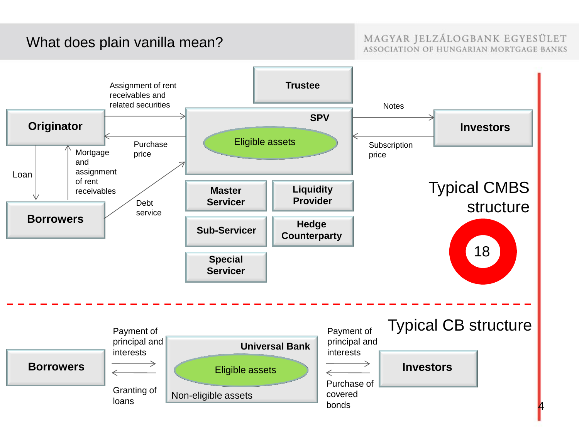# What does plain vanilla mean?

#### MAGYAR JELZÁLOGBANK EGYESÜLET ASSOCIATION OF HUNGARIAN MORTGAGE BANKS

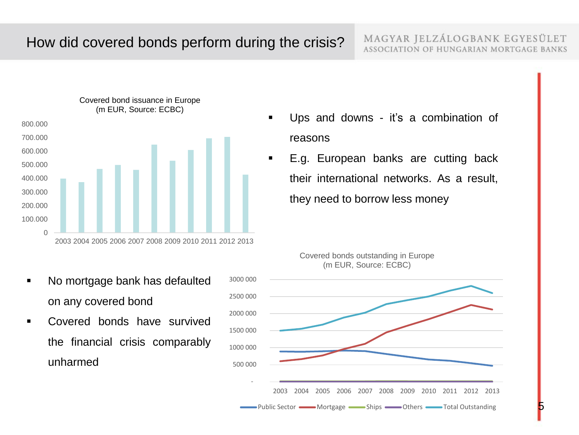5



- No mortgage bank has defaulted on any covered bond
- Covered bonds have survived the financial crisis comparably unharmed
- Ups and downs it's a combination of reasons
- E.g. European banks are cutting back their international networks. As a result, they need to borrow less money



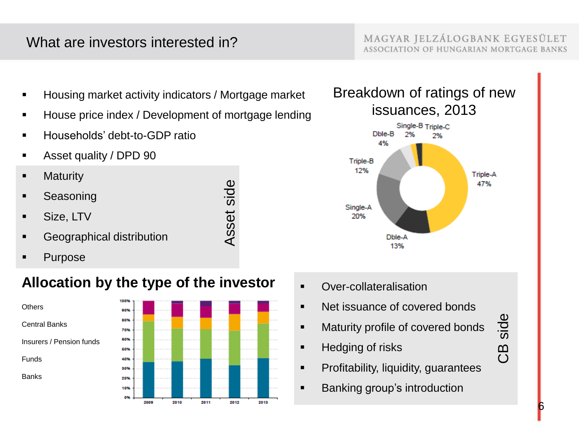# What are investors interested in?

MAGYAR JELZÁLOGBANK EGYESÜLET ASSOCIATION OF HUNGARIAN MORTGAGE BANKS

- Housing market activity indicators / Mortgage market
- House price index / Development of mortgage lending

Asset side

- Households' debt-to-GDP ratio
- **Asset quality / DPD 90**
- **-** Maturity
- Seasoning
- Size, LTV
- **Geographical distribution**
- Purpose

# **Allocation by the type of the investor**







- **•** Over-collateralisation
- Net issuance of covered bonds
- **Maturity profile of covered bonds**
- **Hedging of risks**
- **•** Profitability, liquidity, guarantees
- **Banking group's introduction**

CB side